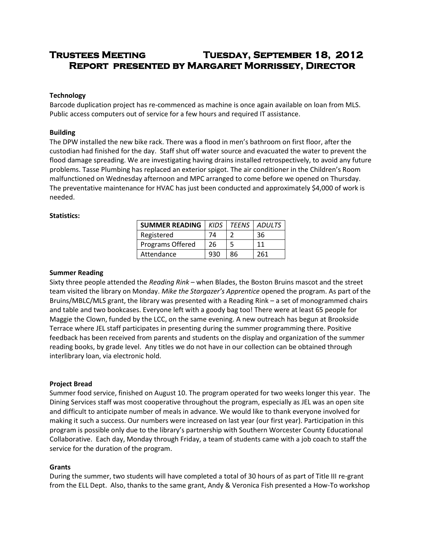# **Trustees Meeting Tuesday, September 18, 2012 Report presented by Margaret Morrissey, Director**

## **Technology**

Barcode duplication project has re-commenced as machine is once again available on loan from MLS. Public access computers out of service for a few hours and required IT assistance.

### **Building**

The DPW installed the new bike rack. There was a flood in men's bathroom on first floor, after the custodian had finished for the day. Staff shut off water source and evacuated the water to prevent the flood damage spreading. We are investigating having drains installed retrospectively, to avoid any future problems. Tasse Plumbing has replaced an exterior spigot. The air conditioner in the Children's Room malfunctioned on Wednesday afternoon and MPC arranged to come before we opened on Thursday. The preventative maintenance for HVAC has just been conducted and approximately \$4,000 of work is needed.

### **Statistics:**

| <b>SUMMER READING</b> | <b>KIDS</b> |    | <b>TEENS   ADULTS</b> |
|-----------------------|-------------|----|-----------------------|
| Registered            | 74          |    | 36                    |
| Programs Offered      | 26          | 5  | 11                    |
| Attendance            | 930         | 86 | 261                   |

### **Summer Reading**

Sixty three people attended the *Reading Rink* – when Blades, the Boston Bruins mascot and the street team visited the library on Monday. *Mike the Stargazer's Apprentice* opened the program. As part of the Bruins/MBLC/MLS grant, the library was presented with a Reading Rink – a set of monogrammed chairs and table and two bookcases. Everyone left with a goody bag too! There were at least 65 people for Maggie the Clown, funded by the LCC, on the same evening. A new outreach has begun at Brookside Terrace where JEL staff participates in presenting during the summer programming there. Positive feedback has been received from parents and students on the display and organization of the summer reading books, by grade level. Any titles we do not have in our collection can be obtained through interlibrary loan, via electronic hold.

#### **Project Bread**

Summer food service, finished on August 10. The program operated for two weeks longer this year. The Dining Services staff was most cooperative throughout the program, especially as JEL was an open site and difficult to anticipate number of meals in advance. We would like to thank everyone involved for making it such a success. Our numbers were increased on last year (our first year). Participation in this program is possible only due to the library's partnership with Southern Worcester County Educational Collaborative. Each day, Monday through Friday, a team of students came with a job coach to staff the service for the duration of the program.

#### **Grants**

During the summer, two students will have completed a total of 30 hours of as part of Title III re-grant from the ELL Dept. Also, thanks to the same grant, Andy & Veronica Fish presented a How-To workshop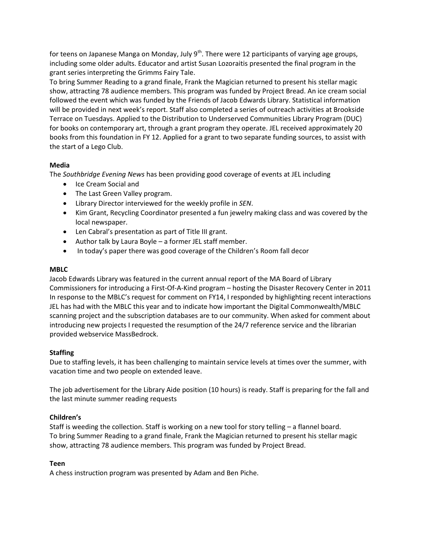for teens on Japanese Manga on Monday, July  $9<sup>th</sup>$ . There were 12 participants of varying age groups, including some older adults. Educator and artist Susan Lozoraitis presented the final program in the grant series interpreting the Grimms Fairy Tale.

To bring Summer Reading to a grand finale, Frank the Magician returned to present his stellar magic show, attracting 78 audience members. This program was funded by Project Bread. An ice cream social followed the event which was funded by the Friends of Jacob Edwards Library. Statistical information will be provided in next week's report. Staff also completed a series of outreach activities at Brookside Terrace on Tuesdays. Applied to the Distribution to Underserved Communities Library Program (DUC) for books on contemporary art, through a grant program they operate. JEL received approximately 20 books from this foundation in FY 12. Applied for a grant to two separate funding sources, to assist with the start of a Lego Club.

# **Media**

The *Southbridge Evening News* has been providing good coverage of events at JEL including

- Ice Cream Social and
- The Last Green Valley program.
- Library Director interviewed for the weekly profile in *SEN*.
- Kim Grant, Recycling Coordinator presented a fun jewelry making class and was covered by the local newspaper.
- Len Cabral's presentation as part of Title III grant.
- Author talk by Laura Boyle a former JEL staff member.
- In today's paper there was good coverage of the Children's Room fall decor

## **MBLC**

Jacob Edwards Library was featured in the current annual report of the MA Board of Library Commissioners for introducing a First-Of-A-Kind program – hosting the Disaster Recovery Center in 2011 In response to the MBLC's request for comment on FY14, I responded by highlighting recent interactions JEL has had with the MBLC this year and to indicate how important the Digital Commonwealth/MBLC scanning project and the subscription databases are to our community. When asked for comment about introducing new projects I requested the resumption of the 24/7 reference service and the librarian provided webservice MassBedrock.

# **Staffing**

Due to staffing levels, it has been challenging to maintain service levels at times over the summer, with vacation time and two people on extended leave.

The job advertisement for the Library Aide position (10 hours) is ready. Staff is preparing for the fall and the last minute summer reading requests

# **Children's**

Staff is weeding the collection. Staff is working on a new tool for story telling – a flannel board. To bring Summer Reading to a grand finale, Frank the Magician returned to present his stellar magic show, attracting 78 audience members. This program was funded by Project Bread.

# **Teen**

A chess instruction program was presented by Adam and Ben Piche.